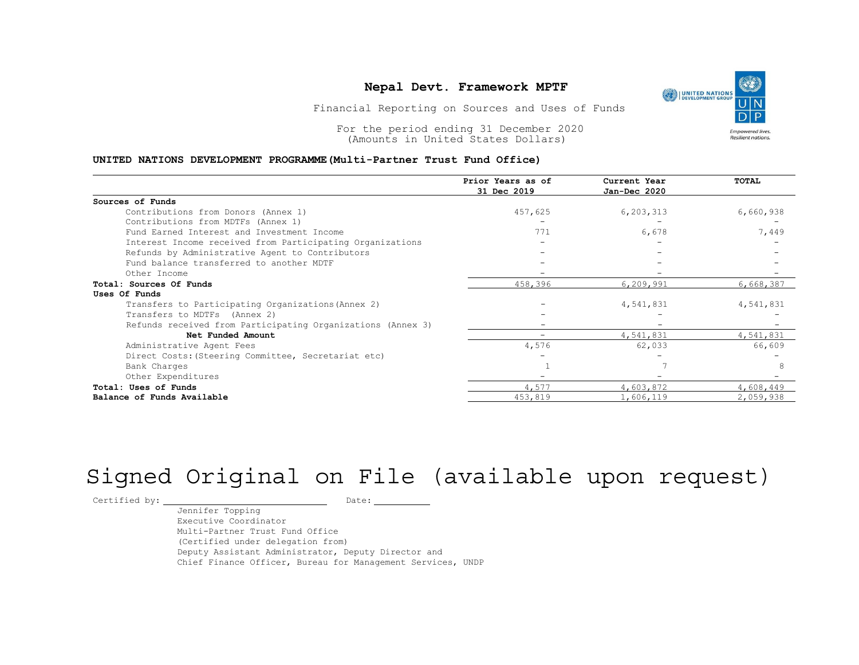#### Nepal Devt. Framework MPTF

#### UNITED NATIONS DEVELOPMENT PROGRAMME(Multi-Partner Trust Fund Office)

| Nepal Devt. Framework MPTF<br><b>UNITED NATIONS</b><br>DEVELOPMENT GROUP<br>Financial Reporting on Sources and Uses of Funds<br>For the period ending 31 December 2020<br><b>Empowered lives.</b><br><b>Resilient nations</b><br>(Amounts in United States Dollars)<br>UNITED NATIONS DEVELOPMENT PROGRAMME (Multi-Partner Trust Fund Office) |                          |           |           |  |  |  |
|-----------------------------------------------------------------------------------------------------------------------------------------------------------------------------------------------------------------------------------------------------------------------------------------------------------------------------------------------|--------------------------|-----------|-----------|--|--|--|
|                                                                                                                                                                                                                                                                                                                                               |                          |           |           |  |  |  |
| Sources of Funds                                                                                                                                                                                                                                                                                                                              |                          |           |           |  |  |  |
| Contributions from Donors (Annex 1)                                                                                                                                                                                                                                                                                                           | 457,625                  | 6,203,313 | 6,660,938 |  |  |  |
| Contributions from MDTFs (Annex 1)                                                                                                                                                                                                                                                                                                            |                          |           |           |  |  |  |
| Fund Earned Interest and Investment Income                                                                                                                                                                                                                                                                                                    | 771                      | 6,678     | 7,449     |  |  |  |
| Interest Income received from Participating Organizations                                                                                                                                                                                                                                                                                     |                          |           |           |  |  |  |
| Refunds by Administrative Agent to Contributors                                                                                                                                                                                                                                                                                               |                          |           |           |  |  |  |
| Fund balance transferred to another MDTF                                                                                                                                                                                                                                                                                                      |                          |           |           |  |  |  |
| Other Income                                                                                                                                                                                                                                                                                                                                  | $\overline{\phantom{a}}$ |           |           |  |  |  |
| Total: Sources Of Funds                                                                                                                                                                                                                                                                                                                       | 458,396                  | 6,209,991 | 6,668,387 |  |  |  |
| Uses Of Funds                                                                                                                                                                                                                                                                                                                                 |                          |           |           |  |  |  |
| Transfers to Participating Organizations (Annex 2)                                                                                                                                                                                                                                                                                            |                          | 4,541,831 | 4,541,831 |  |  |  |
| Transfers to MDTFs (Annex 2)                                                                                                                                                                                                                                                                                                                  |                          |           |           |  |  |  |
| Refunds received from Participating Organizations (Annex 3)                                                                                                                                                                                                                                                                                   |                          |           |           |  |  |  |
| Net Funded Amount                                                                                                                                                                                                                                                                                                                             | $\overline{\phantom{a}}$ | 4,541,831 | 4,541,831 |  |  |  |
| Administrative Agent Fees                                                                                                                                                                                                                                                                                                                     | 4,576                    | 62,033    | 66,609    |  |  |  |
| Direct Costs: (Steering Committee, Secretariat etc)                                                                                                                                                                                                                                                                                           |                          |           |           |  |  |  |
| Bank Charges                                                                                                                                                                                                                                                                                                                                  |                          |           | 8         |  |  |  |
| Other Expenditures                                                                                                                                                                                                                                                                                                                            |                          |           |           |  |  |  |
|                                                                                                                                                                                                                                                                                                                                               | 4,577                    | 4,603,872 | 4,608,449 |  |  |  |
| Total: Uses of Funds                                                                                                                                                                                                                                                                                                                          |                          |           |           |  |  |  |

# Signed Original on File (available upon request)

Certified by: Date:

Jennifer Topping Executive Coordinator Multi-Partner Trust Fund Office (Certified under delegation from) Deputy Assistant Administrator, Deputy Director and Chief Finance Officer, Bureau for Management Services, UNDP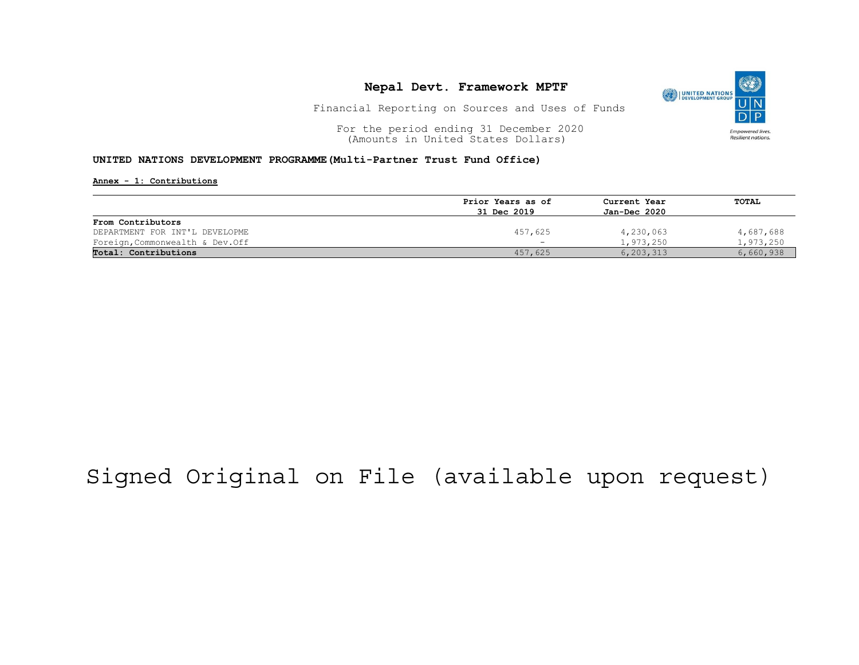## Nepal Devt. Framework MPTF



Financial Reporting on Sources and Uses of Funds

For the period ending 31 December 2020<br>
(Amounts in United States Dollars) (amounts in United States Dollars) (Amounts in United States Dollars)

#### UNITED NATIONS DEVELOPMENT PROGRAMME(Multi-Partner Trust Fund Office)

Annex - 1: Contributions

|                                 | Prior Years as of        | Current Year<br>Jan-Dec 2020 | TOTAL     |
|---------------------------------|--------------------------|------------------------------|-----------|
|                                 | 31 Dec 2019              |                              |           |
| From Contributors               |                          |                              |           |
| DEPARTMENT FOR INT'L DEVELOPME  | 457,625                  | 4,230,063                    | 4,687,688 |
| Foreign, Commonwealth & Dev.Off | $\overline{\phantom{a}}$ | 1,973,250                    | 1,973,250 |
| Total: Contributions            | 457,625                  | 6,203,313                    | 6,660,938 |

## Signed Original on File (available upon request)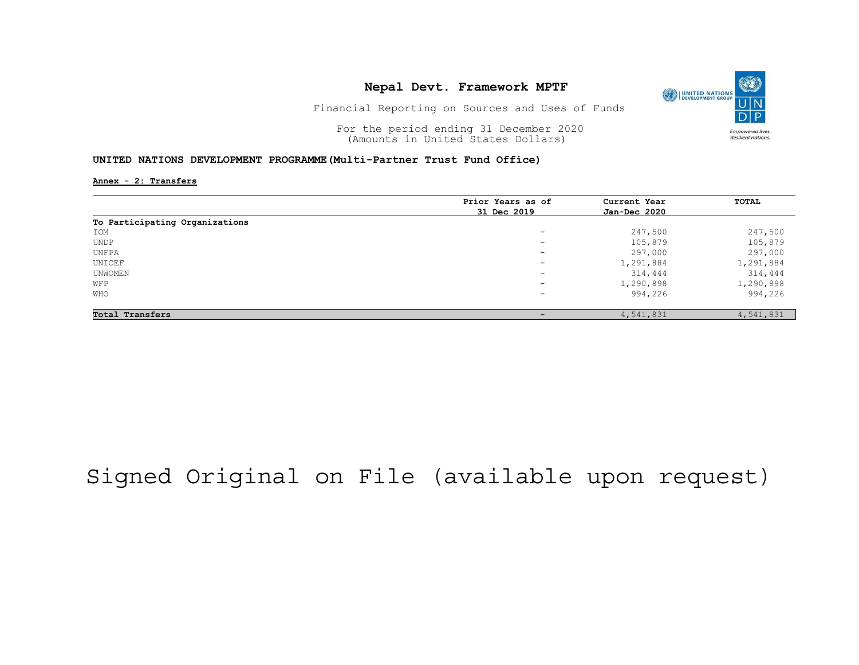## Nepal Devt. Framework MPTF



Financial Reporting on Sources and Uses of Funds

For the period ending 31 December 2020<br>
(Amounts in United States Dollars) (amounts in United States Dollars) (Amounts in United States Dollars)

#### UNITED NATIONS DEVELOPMENT PROGRAMME(Multi-Partner Trust Fund Office)

Annex - 2: Transfers

|                                | Prior Years as of        | Current Year<br>Jan-Dec 2020 | TOTAL     |
|--------------------------------|--------------------------|------------------------------|-----------|
|                                | 31 Dec 2019              |                              |           |
| To Participating Organizations |                          |                              |           |
| IOM                            | $\overline{\phantom{a}}$ | 247,500                      | 247,500   |
| UNDP                           | $\overline{\phantom{0}}$ | 105,879                      | 105,879   |
| UNFPA                          | $\overline{\phantom{0}}$ | 297,000                      | 297,000   |
| UNICEF                         | $\overline{\phantom{a}}$ | 1,291,884                    | 1,291,884 |
| UNWOMEN                        | $\overline{\phantom{a}}$ | 314,444                      | 314,444   |
| WFP                            | $\sim$                   | 1,290,898                    | 1,290,898 |
| WHO                            | $-$                      | 994,226                      | 994,226   |
| Total Transfers                | $\overline{\phantom{0}}$ | 4,541,831                    | 4,541,831 |

## Signed Original on File (available upon request)